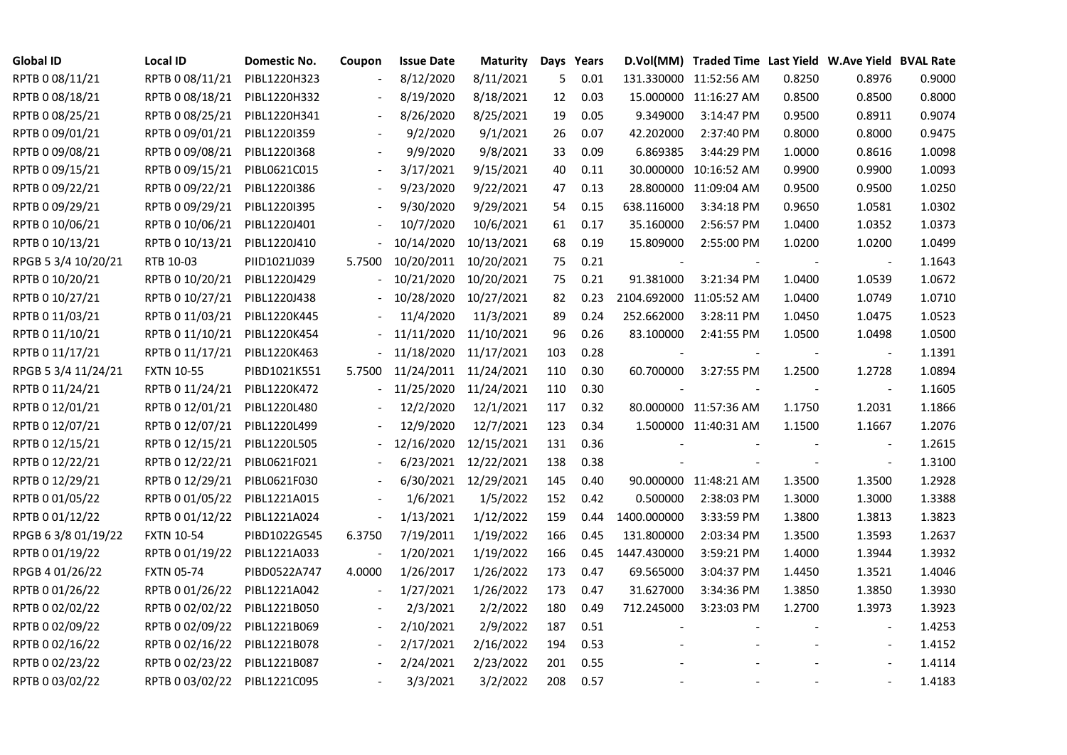| <b>Global ID</b>    | <b>Local ID</b>   | Domestic No. | Coupon                   | <b>Issue Date</b> | <b>Maturity</b>       |     | Days Years |             | D.Vol(MM) Traded Time Last Yield W.Ave Yield BVAL Rate |        |                          |        |
|---------------------|-------------------|--------------|--------------------------|-------------------|-----------------------|-----|------------|-------------|--------------------------------------------------------|--------|--------------------------|--------|
| RPTB 0 08/11/21     | RPTB 0 08/11/21   | PIBL1220H323 |                          | 8/12/2020         | 8/11/2021             | 5   | 0.01       |             | 131.330000 11:52:56 AM                                 | 0.8250 | 0.8976                   | 0.9000 |
| RPTB 0 08/18/21     | RPTB 0 08/18/21   | PIBL1220H332 |                          | 8/19/2020         | 8/18/2021             | 12  | 0.03       |             | 15.000000 11:16:27 AM                                  | 0.8500 | 0.8500                   | 0.8000 |
| RPTB 0 08/25/21     | RPTB 0 08/25/21   | PIBL1220H341 | $\blacksquare$           | 8/26/2020         | 8/25/2021             | 19  | 0.05       | 9.349000    | 3:14:47 PM                                             | 0.9500 | 0.8911                   | 0.9074 |
| RPTB 0 09/01/21     | RPTB 0 09/01/21   | PIBL1220I359 |                          | 9/2/2020          | 9/1/2021              | 26  | 0.07       | 42.202000   | 2:37:40 PM                                             | 0.8000 | 0.8000                   | 0.9475 |
| RPTB 0 09/08/21     | RPTB 0 09/08/21   | PIBL1220I368 |                          | 9/9/2020          | 9/8/2021              | 33  | 0.09       | 6.869385    | 3:44:29 PM                                             | 1.0000 | 0.8616                   | 1.0098 |
| RPTB 0 09/15/21     | RPTB 0 09/15/21   | PIBL0621C015 | $\overline{\phantom{a}}$ | 3/17/2021         | 9/15/2021             | 40  | 0.11       |             | 30.000000 10:16:52 AM                                  | 0.9900 | 0.9900                   | 1.0093 |
| RPTB 0 09/22/21     | RPTB 0 09/22/21   | PIBL1220I386 |                          | 9/23/2020         | 9/22/2021             | 47  | 0.13       |             | 28.800000 11:09:04 AM                                  | 0.9500 | 0.9500                   | 1.0250 |
| RPTB 0 09/29/21     | RPTB 0 09/29/21   | PIBL1220I395 |                          | 9/30/2020         | 9/29/2021             | 54  | 0.15       | 638.116000  | 3:34:18 PM                                             | 0.9650 | 1.0581                   | 1.0302 |
| RPTB 0 10/06/21     | RPTB 0 10/06/21   | PIBL1220J401 |                          | 10/7/2020         | 10/6/2021             | 61  | 0.17       | 35.160000   | 2:56:57 PM                                             | 1.0400 | 1.0352                   | 1.0373 |
| RPTB 0 10/13/21     | RPTB 0 10/13/21   | PIBL1220J410 |                          | 10/14/2020        | 10/13/2021            | 68  | 0.19       | 15.809000   | 2:55:00 PM                                             | 1.0200 | 1.0200                   | 1.0499 |
| RPGB 5 3/4 10/20/21 | RTB 10-03         | PIID1021J039 | 5.7500                   | 10/20/2011        | 10/20/2021            | 75  | 0.21       |             |                                                        |        |                          | 1.1643 |
| RPTB 0 10/20/21     | RPTB 0 10/20/21   | PIBL1220J429 |                          | 10/21/2020        | 10/20/2021            | 75  | 0.21       | 91.381000   | 3:21:34 PM                                             | 1.0400 | 1.0539                   | 1.0672 |
| RPTB 0 10/27/21     | RPTB 0 10/27/21   | PIBL1220J438 |                          | 10/28/2020        | 10/27/2021            | 82  | 0.23       |             | 2104.692000 11:05:52 AM                                | 1.0400 | 1.0749                   | 1.0710 |
| RPTB 0 11/03/21     | RPTB 0 11/03/21   | PIBL1220K445 |                          | 11/4/2020         | 11/3/2021             | 89  | 0.24       | 252.662000  | 3:28:11 PM                                             | 1.0450 | 1.0475                   | 1.0523 |
| RPTB 0 11/10/21     | RPTB 0 11/10/21   | PIBL1220K454 |                          | 11/11/2020        | 11/10/2021            | 96  | 0.26       | 83.100000   | 2:41:55 PM                                             | 1.0500 | 1.0498                   | 1.0500 |
| RPTB 0 11/17/21     | RPTB 0 11/17/21   | PIBL1220K463 |                          | 11/18/2020        | 11/17/2021            | 103 | 0.28       |             |                                                        |        |                          | 1.1391 |
| RPGB 5 3/4 11/24/21 | <b>FXTN 10-55</b> | PIBD1021K551 | 5.7500                   |                   | 11/24/2011 11/24/2021 | 110 | 0.30       | 60.700000   | 3:27:55 PM                                             | 1.2500 | 1.2728                   | 1.0894 |
| RPTB 0 11/24/21     | RPTB 0 11/24/21   | PIBL1220K472 | $\blacksquare$           | 11/25/2020        | 11/24/2021            | 110 | 0.30       |             |                                                        |        |                          | 1.1605 |
| RPTB 0 12/01/21     | RPTB 0 12/01/21   | PIBL1220L480 |                          | 12/2/2020         | 12/1/2021             | 117 | 0.32       |             | 80.000000 11:57:36 AM                                  | 1.1750 | 1.2031                   | 1.1866 |
| RPTB 0 12/07/21     | RPTB 0 12/07/21   | PIBL1220L499 |                          | 12/9/2020         | 12/7/2021             | 123 | 0.34       |             | 1.500000 11:40:31 AM                                   | 1.1500 | 1.1667                   | 1.2076 |
| RPTB 0 12/15/21     | RPTB 0 12/15/21   | PIBL1220L505 |                          | 12/16/2020        | 12/15/2021            | 131 | 0.36       |             |                                                        |        | $\overline{\phantom{a}}$ | 1.2615 |
| RPTB 0 12/22/21     | RPTB 0 12/22/21   | PIBL0621F021 |                          | 6/23/2021         | 12/22/2021            | 138 | 0.38       |             |                                                        |        | $\blacksquare$           | 1.3100 |
| RPTB 0 12/29/21     | RPTB 0 12/29/21   | PIBL0621F030 |                          |                   | 6/30/2021 12/29/2021  | 145 | 0.40       |             | 90.000000 11:48:21 AM                                  | 1.3500 | 1.3500                   | 1.2928 |
| RPTB 0 01/05/22     | RPTB 0 01/05/22   | PIBL1221A015 |                          | 1/6/2021          | 1/5/2022              | 152 | 0.42       | 0.500000    | 2:38:03 PM                                             | 1.3000 | 1.3000                   | 1.3388 |
| RPTB 0 01/12/22     | RPTB 0 01/12/22   | PIBL1221A024 | $\overline{\phantom{a}}$ | 1/13/2021         | 1/12/2022             | 159 | 0.44       | 1400.000000 | 3:33:59 PM                                             | 1.3800 | 1.3813                   | 1.3823 |
| RPGB 63/8 01/19/22  | <b>FXTN 10-54</b> | PIBD1022G545 | 6.3750                   | 7/19/2011         | 1/19/2022             | 166 | 0.45       | 131.800000  | 2:03:34 PM                                             | 1.3500 | 1.3593                   | 1.2637 |
| RPTB 0 01/19/22     | RPTB 0 01/19/22   | PIBL1221A033 |                          | 1/20/2021         | 1/19/2022             | 166 | 0.45       | 1447.430000 | 3:59:21 PM                                             | 1.4000 | 1.3944                   | 1.3932 |
| RPGB 4 01/26/22     | <b>FXTN 05-74</b> | PIBD0522A747 | 4.0000                   | 1/26/2017         | 1/26/2022             | 173 | 0.47       | 69.565000   | 3:04:37 PM                                             | 1.4450 | 1.3521                   | 1.4046 |
| RPTB 0 01/26/22     | RPTB 0 01/26/22   | PIBL1221A042 |                          | 1/27/2021         | 1/26/2022             | 173 | 0.47       | 31.627000   | 3:34:36 PM                                             | 1.3850 | 1.3850                   | 1.3930 |
| RPTB 0 02/02/22     | RPTB 0 02/02/22   | PIBL1221B050 |                          | 2/3/2021          | 2/2/2022              | 180 | 0.49       | 712.245000  | 3:23:03 PM                                             | 1.2700 | 1.3973                   | 1.3923 |
| RPTB 0 02/09/22     | RPTB 0 02/09/22   | PIBL1221B069 |                          | 2/10/2021         | 2/9/2022              | 187 | 0.51       |             |                                                        |        | $\blacksquare$           | 1.4253 |
| RPTB 0 02/16/22     | RPTB 0 02/16/22   | PIBL1221B078 | $\overline{\phantom{a}}$ | 2/17/2021         | 2/16/2022             | 194 | 0.53       |             |                                                        |        | $\overline{\phantom{a}}$ | 1.4152 |
| RPTB 0 02/23/22     | RPTB 0 02/23/22   | PIBL1221B087 |                          | 2/24/2021         | 2/23/2022             | 201 | 0.55       |             |                                                        |        |                          | 1.4114 |
| RPTB 0 03/02/22     | RPTB 0 03/02/22   | PIBL1221C095 |                          | 3/3/2021          | 3/2/2022              | 208 | 0.57       |             |                                                        |        |                          | 1.4183 |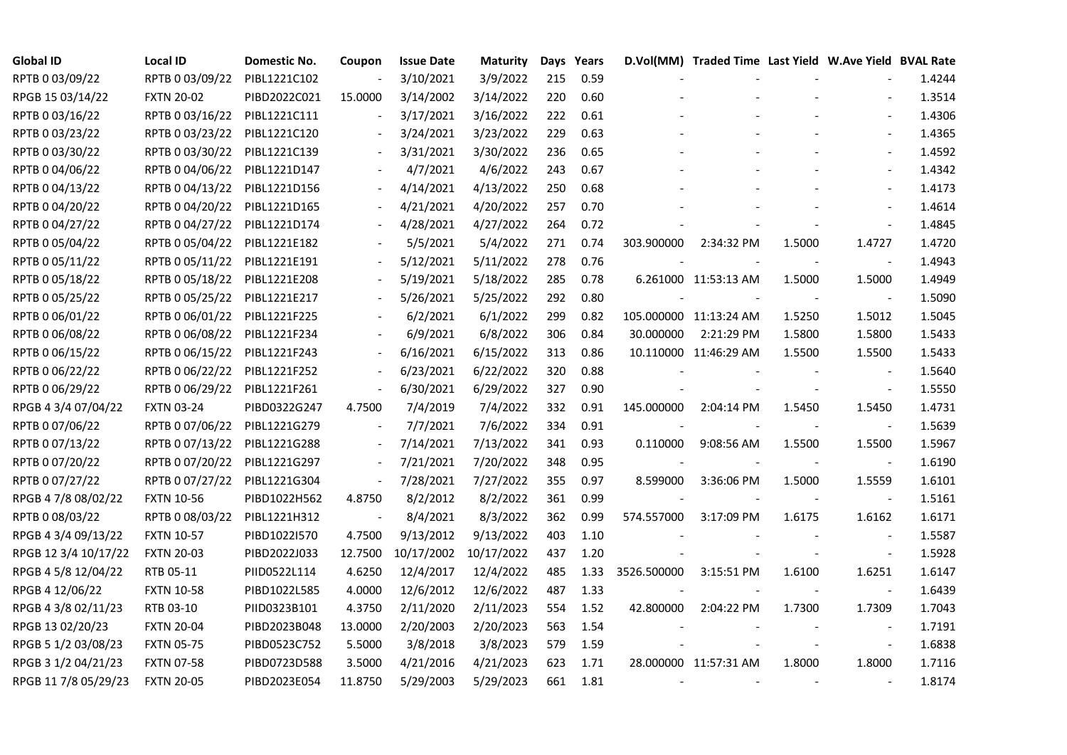| <b>Global ID</b>     | <b>Local ID</b>   | Domestic No. | Coupon                   | <b>Issue Date</b>     | Maturity  |     | Days Years |             | D.Vol(MM) Traded Time Last Yield W.Ave Yield BVAL Rate |        |                          |        |
|----------------------|-------------------|--------------|--------------------------|-----------------------|-----------|-----|------------|-------------|--------------------------------------------------------|--------|--------------------------|--------|
| RPTB 0 03/09/22      | RPTB 0 03/09/22   | PIBL1221C102 | $\overline{\phantom{a}}$ | 3/10/2021             | 3/9/2022  | 215 | 0.59       |             |                                                        |        |                          | 1.4244 |
| RPGB 15 03/14/22     | <b>FXTN 20-02</b> | PIBD2022C021 | 15.0000                  | 3/14/2002             | 3/14/2022 | 220 | 0.60       |             |                                                        |        |                          | 1.3514 |
| RPTB 0 03/16/22      | RPTB 0 03/16/22   | PIBL1221C111 | $\overline{\phantom{a}}$ | 3/17/2021             | 3/16/2022 | 222 | 0.61       |             |                                                        |        | $\overline{\phantom{a}}$ | 1.4306 |
| RPTB 0 03/23/22      | RPTB 0 03/23/22   | PIBL1221C120 | $\overline{\phantom{a}}$ | 3/24/2021             | 3/23/2022 | 229 | 0.63       |             |                                                        |        | $\blacksquare$           | 1.4365 |
| RPTB 0 03/30/22      | RPTB 0 03/30/22   | PIBL1221C139 | $\blacksquare$           | 3/31/2021             | 3/30/2022 | 236 | 0.65       |             |                                                        |        | $\blacksquare$           | 1.4592 |
| RPTB 0 04/06/22      | RPTB 0 04/06/22   | PIBL1221D147 |                          | 4/7/2021              | 4/6/2022  | 243 | 0.67       |             |                                                        |        |                          | 1.4342 |
| RPTB 0 04/13/22      | RPTB 0 04/13/22   | PIBL1221D156 |                          | 4/14/2021             | 4/13/2022 | 250 | 0.68       |             |                                                        |        | $\blacksquare$           | 1.4173 |
| RPTB 0 04/20/22      | RPTB 0 04/20/22   | PIBL1221D165 |                          | 4/21/2021             | 4/20/2022 | 257 | 0.70       |             |                                                        |        | $\blacksquare$           | 1.4614 |
| RPTB 0 04/27/22      | RPTB 0 04/27/22   | PIBL1221D174 |                          | 4/28/2021             | 4/27/2022 | 264 | 0.72       |             |                                                        |        | $\blacksquare$           | 1.4845 |
| RPTB 0 05/04/22      | RPTB 0 05/04/22   | PIBL1221E182 |                          | 5/5/2021              | 5/4/2022  | 271 | 0.74       | 303.900000  | 2:34:32 PM                                             | 1.5000 | 1.4727                   | 1.4720 |
| RPTB 0 05/11/22      | RPTB 0 05/11/22   | PIBL1221E191 | $\overline{\phantom{a}}$ | 5/12/2021             | 5/11/2022 | 278 | 0.76       |             |                                                        |        | $\blacksquare$           | 1.4943 |
| RPTB 0 05/18/22      | RPTB 0 05/18/22   | PIBL1221E208 | $\overline{\phantom{a}}$ | 5/19/2021             | 5/18/2022 | 285 | 0.78       |             | 6.261000 11:53:13 AM                                   | 1.5000 | 1.5000                   | 1.4949 |
| RPTB 0 05/25/22      | RPTB 0 05/25/22   | PIBL1221E217 |                          | 5/26/2021             | 5/25/2022 | 292 | 0.80       |             |                                                        |        | $\blacksquare$           | 1.5090 |
| RPTB 0 06/01/22      | RPTB 0 06/01/22   | PIBL1221F225 |                          | 6/2/2021              | 6/1/2022  | 299 | 0.82       |             | 105.000000 11:13:24 AM                                 | 1.5250 | 1.5012                   | 1.5045 |
| RPTB 0 06/08/22      | RPTB 0 06/08/22   | PIBL1221F234 |                          | 6/9/2021              | 6/8/2022  | 306 | 0.84       | 30.000000   | 2:21:29 PM                                             | 1.5800 | 1.5800                   | 1.5433 |
| RPTB 0 06/15/22      | RPTB 0 06/15/22   | PIBL1221F243 |                          | 6/16/2021             | 6/15/2022 | 313 | 0.86       |             | 10.110000 11:46:29 AM                                  | 1.5500 | 1.5500                   | 1.5433 |
| RPTB 0 06/22/22      | RPTB 0 06/22/22   | PIBL1221F252 | $\overline{\phantom{a}}$ | 6/23/2021             | 6/22/2022 | 320 | 0.88       |             |                                                        |        |                          | 1.5640 |
| RPTB 0 06/29/22      | RPTB 0 06/29/22   | PIBL1221F261 | $\overline{\phantom{a}}$ | 6/30/2021             | 6/29/2022 | 327 | 0.90       |             |                                                        |        | $\overline{\phantom{a}}$ | 1.5550 |
| RPGB 4 3/4 07/04/22  | <b>FXTN 03-24</b> | PIBD0322G247 | 4.7500                   | 7/4/2019              | 7/4/2022  | 332 | 0.91       | 145.000000  | 2:04:14 PM                                             | 1.5450 | 1.5450                   | 1.4731 |
| RPTB 0 07/06/22      | RPTB 0 07/06/22   | PIBL1221G279 |                          | 7/7/2021              | 7/6/2022  | 334 | 0.91       |             |                                                        |        |                          | 1.5639 |
| RPTB 0 07/13/22      | RPTB 0 07/13/22   | PIBL1221G288 | $\overline{\phantom{a}}$ | 7/14/2021             | 7/13/2022 | 341 | 0.93       | 0.110000    | 9:08:56 AM                                             | 1.5500 | 1.5500                   | 1.5967 |
| RPTB 0 07/20/22      | RPTB 0 07/20/22   | PIBL1221G297 | $\overline{\phantom{a}}$ | 7/21/2021             | 7/20/2022 | 348 | 0.95       |             |                                                        |        | $\sim$                   | 1.6190 |
| RPTB 0 07/27/22      | RPTB 0 07/27/22   | PIBL1221G304 | $\blacksquare$           | 7/28/2021             | 7/27/2022 | 355 | 0.97       | 8.599000    | 3:36:06 PM                                             | 1.5000 | 1.5559                   | 1.6101 |
| RPGB 4 7/8 08/02/22  | <b>FXTN 10-56</b> | PIBD1022H562 | 4.8750                   | 8/2/2012              | 8/2/2022  | 361 | 0.99       |             |                                                        |        | $\blacksquare$           | 1.5161 |
| RPTB 0 08/03/22      | RPTB 0 08/03/22   | PIBL1221H312 | $\overline{\phantom{a}}$ | 8/4/2021              | 8/3/2022  | 362 | 0.99       | 574.557000  | 3:17:09 PM                                             | 1.6175 | 1.6162                   | 1.6171 |
| RPGB 4 3/4 09/13/22  | <b>FXTN 10-57</b> | PIBD1022I570 | 4.7500                   | 9/13/2012             | 9/13/2022 | 403 | 1.10       |             |                                                        |        | $\blacksquare$           | 1.5587 |
| RPGB 12 3/4 10/17/22 | <b>FXTN 20-03</b> | PIBD2022J033 | 12.7500                  | 10/17/2002 10/17/2022 |           | 437 | 1.20       |             |                                                        |        | $\blacksquare$           | 1.5928 |
| RPGB 4 5/8 12/04/22  | RTB 05-11         | PIID0522L114 | 4.6250                   | 12/4/2017             | 12/4/2022 | 485 | 1.33       | 3526.500000 | 3:15:51 PM                                             | 1.6100 | 1.6251                   | 1.6147 |
| RPGB 4 12/06/22      | <b>FXTN 10-58</b> | PIBD1022L585 | 4.0000                   | 12/6/2012             | 12/6/2022 | 487 | 1.33       |             |                                                        |        | $\blacksquare$           | 1.6439 |
| RPGB 4 3/8 02/11/23  | RTB 03-10         | PIID0323B101 | 4.3750                   | 2/11/2020             | 2/11/2023 | 554 | 1.52       | 42.800000   | 2:04:22 PM                                             | 1.7300 | 1.7309                   | 1.7043 |
| RPGB 13 02/20/23     | <b>FXTN 20-04</b> | PIBD2023B048 | 13.0000                  | 2/20/2003             | 2/20/2023 | 563 | 1.54       |             |                                                        |        |                          | 1.7191 |
| RPGB 5 1/2 03/08/23  | <b>FXTN 05-75</b> | PIBD0523C752 | 5.5000                   | 3/8/2018              | 3/8/2023  | 579 | 1.59       |             |                                                        |        | $\blacksquare$           | 1.6838 |
| RPGB 3 1/2 04/21/23  | <b>FXTN 07-58</b> | PIBD0723D588 | 3.5000                   | 4/21/2016             | 4/21/2023 | 623 | 1.71       |             | 28.000000 11:57:31 AM                                  | 1.8000 | 1.8000                   | 1.7116 |
| RPGB 11 7/8 05/29/23 | <b>FXTN 20-05</b> | PIBD2023E054 | 11.8750                  | 5/29/2003             | 5/29/2023 | 661 | 1.81       |             |                                                        |        | $\blacksquare$           | 1.8174 |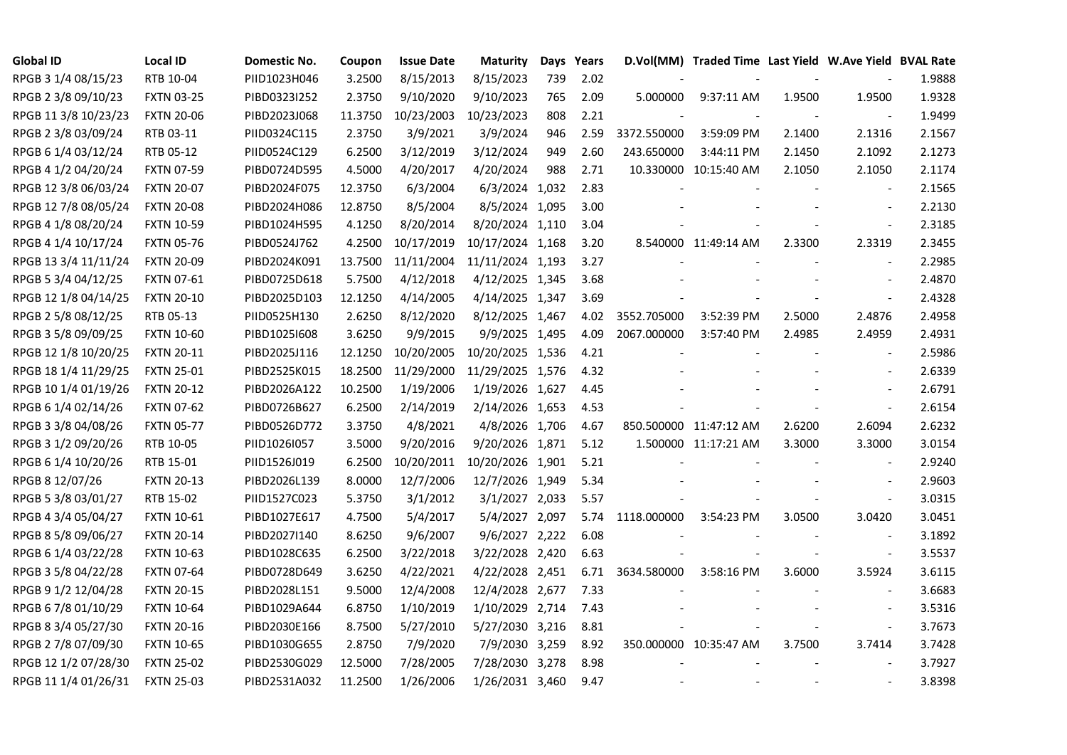| <b>Global ID</b>     | <b>Local ID</b>   | Domestic No. | Coupon  | <b>Issue Date</b> | <b>Maturity</b>  |     | Days Years |             | D.Vol(MM) Traded Time Last Yield W.Ave Yield BVAL Rate |                |                          |        |
|----------------------|-------------------|--------------|---------|-------------------|------------------|-----|------------|-------------|--------------------------------------------------------|----------------|--------------------------|--------|
| RPGB 3 1/4 08/15/23  | RTB 10-04         | PIID1023H046 | 3.2500  | 8/15/2013         | 8/15/2023        | 739 | 2.02       |             |                                                        |                |                          | 1.9888 |
| RPGB 2 3/8 09/10/23  | <b>FXTN 03-25</b> | PIBD0323I252 | 2.3750  | 9/10/2020         | 9/10/2023        | 765 | 2.09       | 5.000000    | 9:37:11 AM                                             | 1.9500         | 1.9500                   | 1.9328 |
| RPGB 11 3/8 10/23/23 | <b>FXTN 20-06</b> | PIBD2023J068 | 11.3750 | 10/23/2003        | 10/23/2023       | 808 | 2.21       |             |                                                        |                |                          | 1.9499 |
| RPGB 2 3/8 03/09/24  | RTB 03-11         | PIID0324C115 | 2.3750  | 3/9/2021          | 3/9/2024         | 946 | 2.59       | 3372.550000 | 3:59:09 PM                                             | 2.1400         | 2.1316                   | 2.1567 |
| RPGB 6 1/4 03/12/24  | RTB 05-12         | PIID0524C129 | 6.2500  | 3/12/2019         | 3/12/2024        | 949 | 2.60       | 243.650000  | 3:44:11 PM                                             | 2.1450         | 2.1092                   | 2.1273 |
| RPGB 4 1/2 04/20/24  | <b>FXTN 07-59</b> | PIBD0724D595 | 4.5000  | 4/20/2017         | 4/20/2024        | 988 | 2.71       |             | 10.330000 10:15:40 AM                                  | 2.1050         | 2.1050                   | 2.1174 |
| RPGB 12 3/8 06/03/24 | <b>FXTN 20-07</b> | PIBD2024F075 | 12.3750 | 6/3/2004          | 6/3/2024 1,032   |     | 2.83       |             |                                                        |                | $\blacksquare$           | 2.1565 |
| RPGB 12 7/8 08/05/24 | <b>FXTN 20-08</b> | PIBD2024H086 | 12.8750 | 8/5/2004          | 8/5/2024 1,095   |     | 3.00       |             |                                                        |                | $\sim$                   | 2.2130 |
| RPGB 4 1/8 08/20/24  | <b>FXTN 10-59</b> | PIBD1024H595 | 4.1250  | 8/20/2014         | 8/20/2024 1,110  |     | 3.04       |             |                                                        |                | $\overline{\phantom{a}}$ | 2.3185 |
| RPGB 4 1/4 10/17/24  | <b>FXTN 05-76</b> | PIBD0524J762 | 4.2500  | 10/17/2019        | 10/17/2024 1,168 |     | 3.20       |             | 8.540000 11:49:14 AM                                   | 2.3300         | 2.3319                   | 2.3455 |
| RPGB 13 3/4 11/11/24 | <b>FXTN 20-09</b> | PIBD2024K091 | 13.7500 | 11/11/2004        | 11/11/2024 1,193 |     | 3.27       |             |                                                        |                | $\blacksquare$           | 2.2985 |
| RPGB 5 3/4 04/12/25  | <b>FXTN 07-61</b> | PIBD0725D618 | 5.7500  | 4/12/2018         | 4/12/2025 1,345  |     | 3.68       |             |                                                        |                | $\sim$                   | 2.4870 |
| RPGB 12 1/8 04/14/25 | <b>FXTN 20-10</b> | PIBD2025D103 | 12.1250 | 4/14/2005         | 4/14/2025 1,347  |     | 3.69       |             |                                                        |                | $\blacksquare$           | 2.4328 |
| RPGB 2 5/8 08/12/25  | RTB 05-13         | PIID0525H130 | 2.6250  | 8/12/2020         | 8/12/2025 1,467  |     | 4.02       | 3552.705000 | 3:52:39 PM                                             | 2.5000         | 2.4876                   | 2.4958 |
| RPGB 3 5/8 09/09/25  | <b>FXTN 10-60</b> | PIBD10251608 | 3.6250  | 9/9/2015          | 9/9/2025 1,495   |     | 4.09       | 2067.000000 | 3:57:40 PM                                             | 2.4985         | 2.4959                   | 2.4931 |
| RPGB 12 1/8 10/20/25 | <b>FXTN 20-11</b> | PIBD2025J116 | 12.1250 | 10/20/2005        | 10/20/2025 1,536 |     | 4.21       |             |                                                        |                |                          | 2.5986 |
| RPGB 18 1/4 11/29/25 | <b>FXTN 25-01</b> | PIBD2525K015 | 18.2500 | 11/29/2000        | 11/29/2025 1,576 |     | 4.32       |             |                                                        |                | $\overline{\phantom{a}}$ | 2.6339 |
| RPGB 10 1/4 01/19/26 | <b>FXTN 20-12</b> | PIBD2026A122 | 10.2500 | 1/19/2006         | 1/19/2026 1,627  |     | 4.45       |             |                                                        |                | $\blacksquare$           | 2.6791 |
| RPGB 6 1/4 02/14/26  | <b>FXTN 07-62</b> | PIBD0726B627 | 6.2500  | 2/14/2019         | 2/14/2026 1,653  |     | 4.53       |             |                                                        |                | $\sim$                   | 2.6154 |
| RPGB 3 3/8 04/08/26  | <b>FXTN 05-77</b> | PIBD0526D772 | 3.3750  | 4/8/2021          | 4/8/2026 1,706   |     | 4.67       |             | 850.500000 11:47:12 AM                                 | 2.6200         | 2.6094                   | 2.6232 |
| RPGB 3 1/2 09/20/26  | RTB 10-05         | PIID1026I057 | 3.5000  | 9/20/2016         | 9/20/2026 1,871  |     | 5.12       |             | 1.500000 11:17:21 AM                                   | 3.3000         | 3.3000                   | 3.0154 |
| RPGB 6 1/4 10/20/26  | RTB 15-01         | PIID1526J019 | 6.2500  | 10/20/2011        | 10/20/2026 1,901 |     | 5.21       |             |                                                        |                | $\overline{\phantom{a}}$ | 2.9240 |
| RPGB 8 12/07/26      | <b>FXTN 20-13</b> | PIBD2026L139 | 8.0000  | 12/7/2006         | 12/7/2026 1,949  |     | 5.34       |             |                                                        |                | $\overline{a}$           | 2.9603 |
| RPGB 5 3/8 03/01/27  | RTB 15-02         | PIID1527C023 | 5.3750  | 3/1/2012          | 3/1/2027 2,033   |     | 5.57       |             |                                                        |                | $\overline{\phantom{a}}$ | 3.0315 |
| RPGB 4 3/4 05/04/27  | <b>FXTN 10-61</b> | PIBD1027E617 | 4.7500  | 5/4/2017          | 5/4/2027 2,097   |     | 5.74       | 1118.000000 | 3:54:23 PM                                             | 3.0500         | 3.0420                   | 3.0451 |
| RPGB 8 5/8 09/06/27  | <b>FXTN 20-14</b> | PIBD2027I140 | 8.6250  | 9/6/2007          | 9/6/2027 2,222   |     | 6.08       |             |                                                        |                | $\blacksquare$           | 3.1892 |
| RPGB 6 1/4 03/22/28  | <b>FXTN 10-63</b> | PIBD1028C635 | 6.2500  | 3/22/2018         | 3/22/2028 2,420  |     | 6.63       |             |                                                        |                | $\blacksquare$           | 3.5537 |
| RPGB 3 5/8 04/22/28  | <b>FXTN 07-64</b> | PIBD0728D649 | 3.6250  | 4/22/2021         | 4/22/2028 2,451  |     | 6.71       | 3634.580000 | 3:58:16 PM                                             | 3.6000         | 3.5924                   | 3.6115 |
| RPGB 9 1/2 12/04/28  | <b>FXTN 20-15</b> | PIBD2028L151 | 9.5000  | 12/4/2008         | 12/4/2028 2,677  |     | 7.33       |             |                                                        |                |                          | 3.6683 |
| RPGB 67/8 01/10/29   | <b>FXTN 10-64</b> | PIBD1029A644 | 6.8750  | 1/10/2019         | 1/10/2029 2,714  |     | 7.43       |             |                                                        |                | $\sim$                   | 3.5316 |
| RPGB 8 3/4 05/27/30  | <b>FXTN 20-16</b> | PIBD2030E166 | 8.7500  | 5/27/2010         | 5/27/2030 3,216  |     | 8.81       |             |                                                        |                | $\blacksquare$           | 3.7673 |
| RPGB 2 7/8 07/09/30  | <b>FXTN 10-65</b> | PIBD1030G655 | 2.8750  | 7/9/2020          | 7/9/2030 3,259   |     | 8.92       |             | 350.000000 10:35:47 AM                                 | 3.7500         | 3.7414                   | 3.7428 |
| RPGB 12 1/2 07/28/30 | <b>FXTN 25-02</b> | PIBD2530G029 | 12.5000 | 7/28/2005         | 7/28/2030 3,278  |     | 8.98       |             |                                                        |                |                          | 3.7927 |
| RPGB 11 1/4 01/26/31 | <b>FXTN 25-03</b> | PIBD2531A032 | 11.2500 | 1/26/2006         | 1/26/2031 3,460  |     | 9.47       |             |                                                        | $\blacksquare$ | $\sim$                   | 3.8398 |